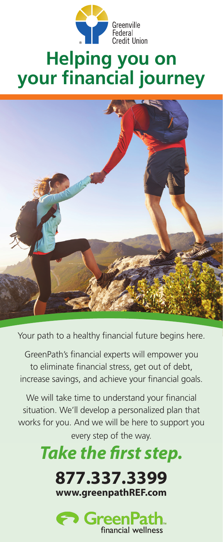

# **Helping you on your financial journey you on**



Your path to a healthy financial future begins here.

GreenPath's financial experts will empower you to eliminate financial stress, get out of debt, increase savings, and achieve your financial goals.

We will take time to understand your financial situation. We'll develop a personalized plan that works for you. And we will be here to support you works for your every step of the way.

# Take the first step.